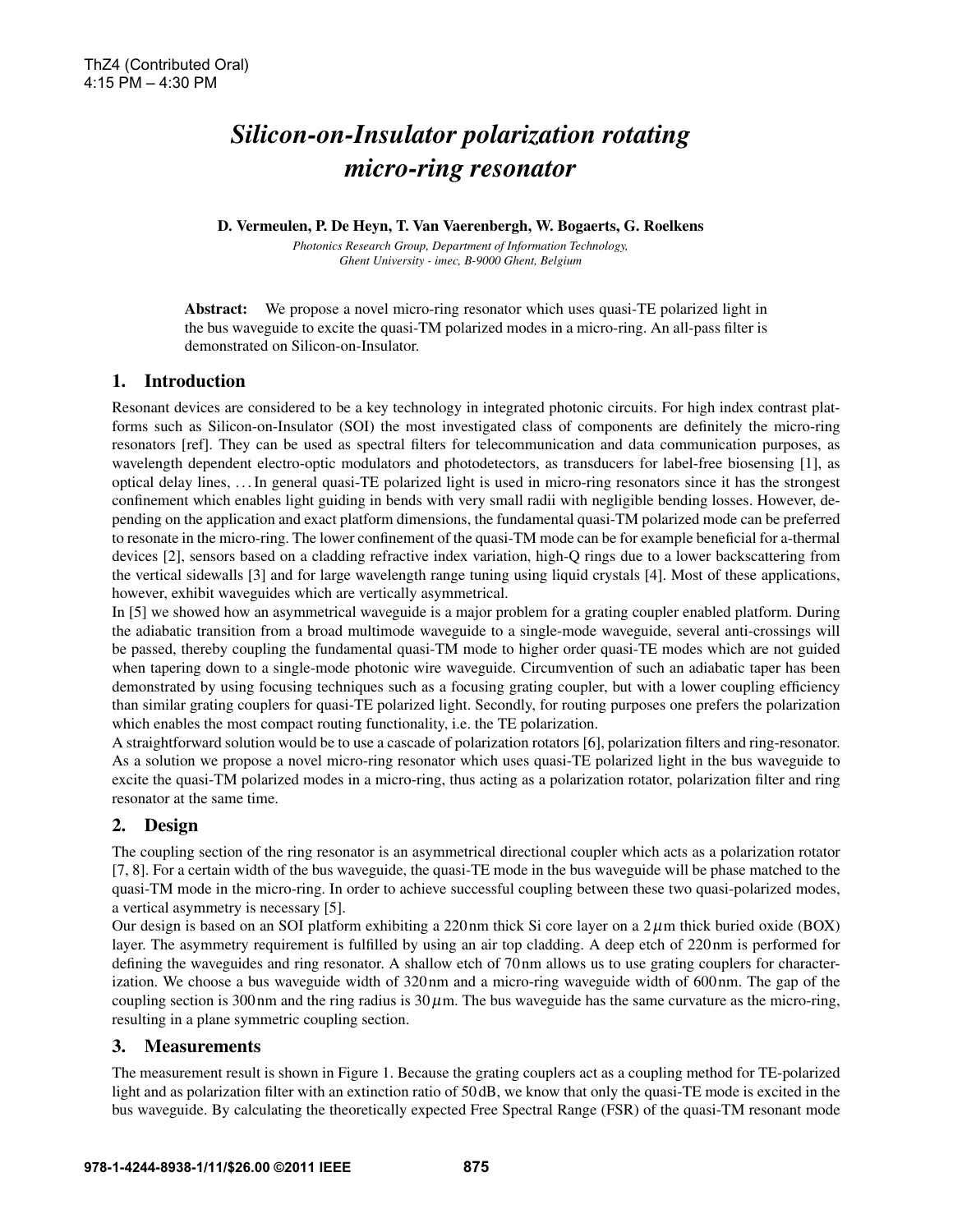# *Silicon-on-Insulator polarization rotating micro-ring resonator*

D. Vermeulen, P. De Heyn, T. Van Vaerenbergh, W. Bogaerts, G. Roelkens

*Photonics Research Group, Department of Information Technology, Ghent University - imec, B-9000 Ghent, Belgium*

Abstract: We propose a novel micro-ring resonator which uses quasi-TE polarized light in the bus waveguide to excite the quasi-TM polarized modes in a micro-ring. An all-pass filter is demonstrated on Silicon-on-Insulator.

## 1. Introduction

Resonant devices are considered to be a key technology in integrated photonic circuits. For high index contrast platforms such as Silicon-on-Insulator (SOI) the most investigated class of components are definitely the micro-ring resonators [ref]. They can be used as spectral filters for telecommunication and data communication purposes, as wavelength dependent electro-optic modulators and photodetectors, as transducers for label-free biosensing [1], as optical delay lines, . . . In general quasi-TE polarized light is used in micro-ring resonators since it has the strongest confinement which enables light guiding in bends with very small radii with negligible bending losses. However, depending on the application and exact platform dimensions, the fundamental quasi-TM polarized mode can be preferred to resonate in the micro-ring. The lower confinement of the quasi-TM mode can be for example beneficial for a-thermal devices [2], sensors based on a cladding refractive index variation, high-Q rings due to a lower backscattering from the vertical sidewalls [3] and for large wavelength range tuning using liquid crystals [4]. Most of these applications, however, exhibit waveguides which are vertically asymmetrical.

In [5] we showed how an asymmetrical waveguide is a major problem for a grating coupler enabled platform. During the adiabatic transition from a broad multimode waveguide to a single-mode waveguide, several anti-crossings will be passed, thereby coupling the fundamental quasi-TM mode to higher order quasi-TE modes which are not guided when tapering down to a single-mode photonic wire waveguide. Circumvention of such an adiabatic taper has been demonstrated by using focusing techniques such as a focusing grating coupler, but with a lower coupling efficiency than similar grating couplers for quasi-TE polarized light. Secondly, for routing purposes one prefers the polarization which enables the most compact routing functionality, i.e. the TE polarization.

A straightforward solution would be to use a cascade of polarization rotators [6], polarization filters and ring-resonator. As a solution we propose a novel micro-ring resonator which uses quasi-TE polarized light in the bus waveguide to excite the quasi-TM polarized modes in a micro-ring, thus acting as a polarization rotator, polarization filter and ring resonator at the same time.

# 2. Design

The coupling section of the ring resonator is an asymmetrical directional coupler which acts as a polarization rotator [7, 8]. For a certain width of the bus waveguide, the quasi-TE mode in the bus waveguide will be phase matched to the quasi-TM mode in the micro-ring. In order to achieve successful coupling between these two quasi-polarized modes, a vertical asymmetry is necessary [5].

Our design is based on an SOI platform exhibiting a 220 nm thick Si core layer on a  $2 \mu$ m thick buried oxide (BOX) layer. The asymmetry requirement is fulfilled by using an air top cladding. A deep etch of 220 nm is performed for defining the waveguides and ring resonator. A shallow etch of 70 nm allows us to use grating couplers for characterization. We choose a bus waveguide width of 320 nm and a micro-ring waveguide width of 600 nm. The gap of the coupling section is 300 nm and the ring radius is  $30 \mu$ m. The bus waveguide has the same curvature as the micro-ring, resulting in a plane symmetric coupling section.

## 3. Measurements

The measurement result is shown in Figure 1. Because the grating couplers act as a coupling method for TE-polarized light and as polarization filter with an extinction ratio of 50 dB, we know that only the quasi-TE mode is excited in the bus waveguide. By calculating the theoretically expected Free Spectral Range (FSR) of the quasi-TM resonant mode